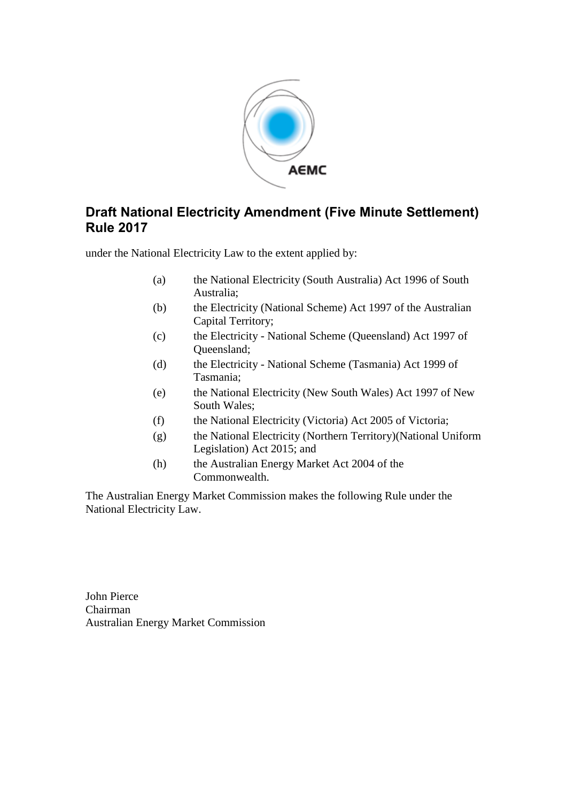

## **Draft National Electricity Amendment (Five Minute Settlement) Rule 2017**

under the National Electricity Law to the extent applied by:

- (a) the National Electricity (South Australia) Act 1996 of South Australia;
- (b) the Electricity (National Scheme) Act 1997 of the Australian Capital Territory;
- (c) the Electricity National Scheme (Queensland) Act 1997 of Queensland;
- (d) the Electricity National Scheme (Tasmania) Act 1999 of Tasmania;
- (e) the National Electricity (New South Wales) Act 1997 of New South Wales;
- (f) the National Electricity (Victoria) Act 2005 of Victoria;
- (g) the National Electricity (Northern Territory)(National Uniform Legislation) Act 2015; and
- (h) the Australian Energy Market Act 2004 of the Commonwealth.

The Australian Energy Market Commission makes the following Rule under the National Electricity Law.

John Pierce Chairman Australian Energy Market Commission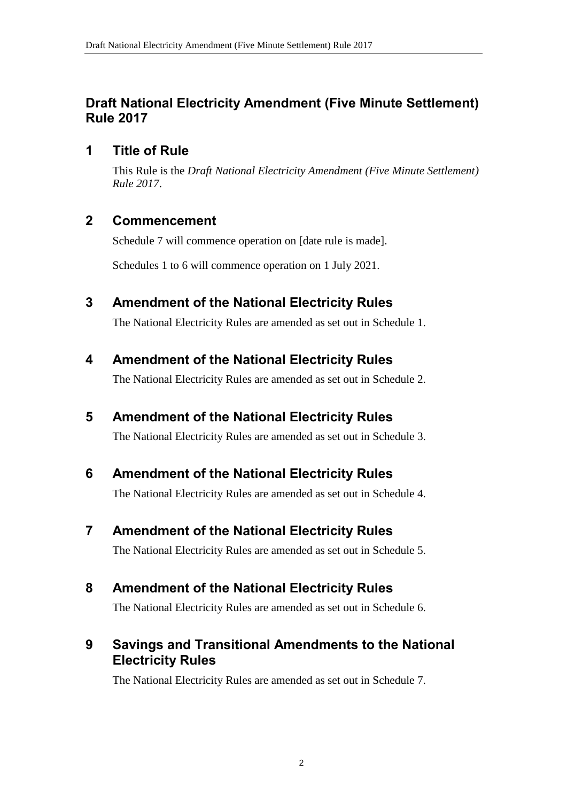## **Draft National Electricity Amendment (Five Minute Settlement) Rule 2017**

#### **1 Title of Rule**

This Rule is the *Draft National Electricity Amendment (Five Minute Settlement) Rule 2017*.

## **2 Commencement**

Schedule 7 will commence operation on [date rule is made].

Schedules 1 to 6 will commence operation on 1 July 2021.

## <span id="page-1-0"></span>**3 Amendment of the National Electricity Rules**

The National Electricity Rules are amended as set out in [Schedule 1.](#page-2-0)

# <span id="page-1-1"></span>**4 Amendment of the National Electricity Rules**

The National Electricity Rules are amended as set out in [Schedule 2.](#page-21-0)

## <span id="page-1-2"></span>**5 Amendment of the National Electricity Rules**

The National Electricity Rules are amended as set out in [Schedule 3.](#page-22-0)

<span id="page-1-3"></span>**6 Amendment of the National Electricity Rules**

The National Electricity Rules are amended as set out in [Schedule 4.](#page-23-0)

<span id="page-1-4"></span>**7 Amendment of the National Electricity Rules**

The National Electricity Rules are amended as set out in [Schedule 5.](#page-28-0)

## <span id="page-1-5"></span>**8 Amendment of the National Electricity Rules**

The National Electricity Rules are amended as set out in [Schedule 6.](#page-29-0)

# <span id="page-1-6"></span>**9 Savings and Transitional Amendments to the National Electricity Rules**

The National Electricity Rules are amended as set out in [Schedule 7.](#page-32-0)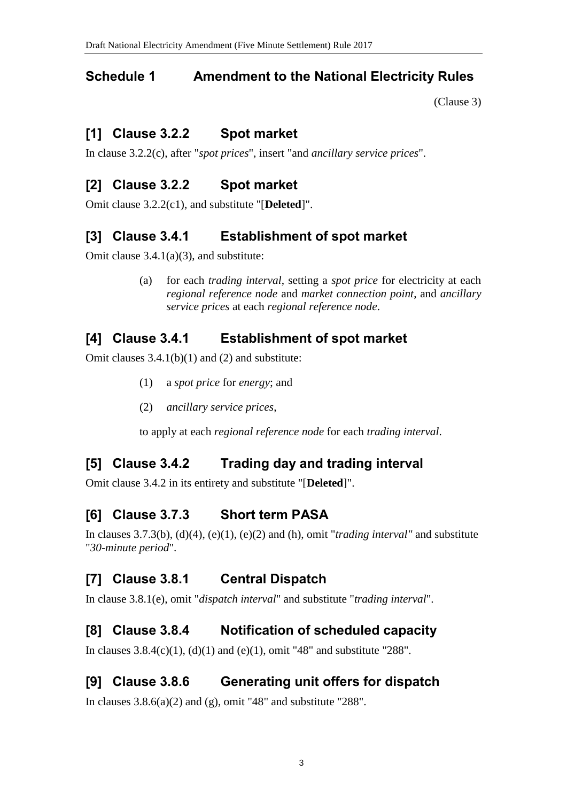# <span id="page-2-0"></span>**Schedule 1 Amendment to the National Electricity Rules**

[\(Clause 3\)](#page-1-0)

# **[1] Clause 3.2.2 Spot market**

In clause 3.2.2(c), after "*spot prices*", insert "and *ancillary service prices*".

# **[2] Clause 3.2.2 Spot market**

Omit clause 3.2.2(c1), and substitute "[**Deleted**]".

# **[3] Clause 3.4.1 Establishment of spot market**

Omit clause 3.4.1(a)(3), and substitute:

(a) for each *trading interval*, setting a *spot price* for electricity at each *regional reference node* and *market connection point*, and *ancillary service prices* at each *regional reference node*.

# **[4] Clause 3.4.1 Establishment of spot market**

Omit clauses  $3.4.1(b)(1)$  and  $(2)$  and substitute:

- (1) a *spot price* for *energy*; and
- (2) *ancillary service prices*,

to apply at each *regional reference node* for each *trading interval*.

# **[5] Clause 3.4.2 Trading day and trading interval**

Omit clause 3.4.2 in its entirety and substitute "[**Deleted**]".

# **[6] Clause 3.7.3 Short term PASA**

In clauses 3.7.3(b), (d)(4), (e)(1), (e)(2) and (h), omit "*trading interval"* and substitute "*30-minute period*".

# **[7] Clause 3.8.1 Central Dispatch**

In clause 3.8.1(e), omit "*dispatch interval*" and substitute "*trading interval*".

# **[8] Clause 3.8.4 Notification of scheduled capacity**

In clauses  $3.8.4(c)(1)$ , (d)(1) and (e)(1), omit "48" and substitute "288".

# **[9] Clause 3.8.6 Generating unit offers for dispatch**

In clauses  $3.8.6(a)(2)$  and (g), omit "48" and substitute "288".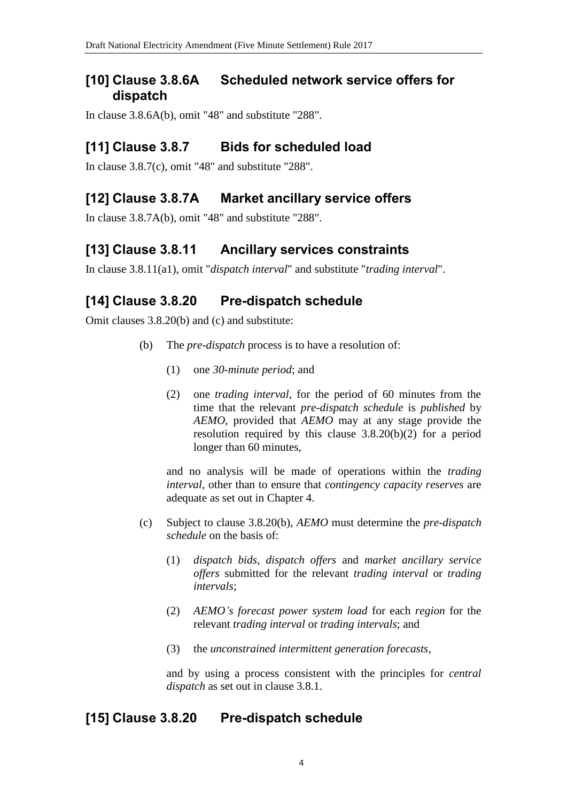#### **[10] Clause 3.8.6A Scheduled network service offers for dispatch**

In clause 3.8.6A(b), omit "48" and substitute "288".

## **[11] Clause 3.8.7 Bids for scheduled load**

In clause 3.8.7(c), omit "48" and substitute "288".

# **[12] Clause 3.8.7A Market ancillary service offers**

In clause 3.8.7A(b), omit "48" and substitute "288".

# **[13] Clause 3.8.11 Ancillary services constraints**

In clause 3.8.11(a1), omit "*dispatch interval*" and substitute "*trading interval*".

# **[14] Clause 3.8.20 Pre-dispatch schedule**

Omit clauses 3.8.20(b) and (c) and substitute:

- (b) The *pre-dispatch* process is to have a resolution of:
	- (1) one *30-minute period*; and
	- (2) one *trading interval*, for the period of 60 minutes from the time that the relevant *pre-dispatch schedule* is *published* by *AEMO*, provided that *AEMO* may at any stage provide the resolution required by this clause 3.8.20(b)(2) for a period longer than 60 minutes,

and no analysis will be made of operations within the *trading interval*, other than to ensure that *contingency capacity reserves* are adequate as set out in Chapter 4.

- (c) Subject to clause 3.8.20(b), *AEMO* must determine the *pre-dispatch schedule* on the basis of:
	- (1) *dispatch bids*, *dispatch offers* and *market ancillary service offers* submitted for the relevant *trading interval* or *trading intervals*;
	- (2) *AEMO's forecast power system load* for each *region* for the relevant *trading interval* or *trading intervals*; and
	- (3) the *unconstrained intermittent generation forecasts*,

and by using a process consistent with the principles for *central dispatch* as set out in clause 3.8.1.

## **[15] Clause 3.8.20 Pre-dispatch schedule**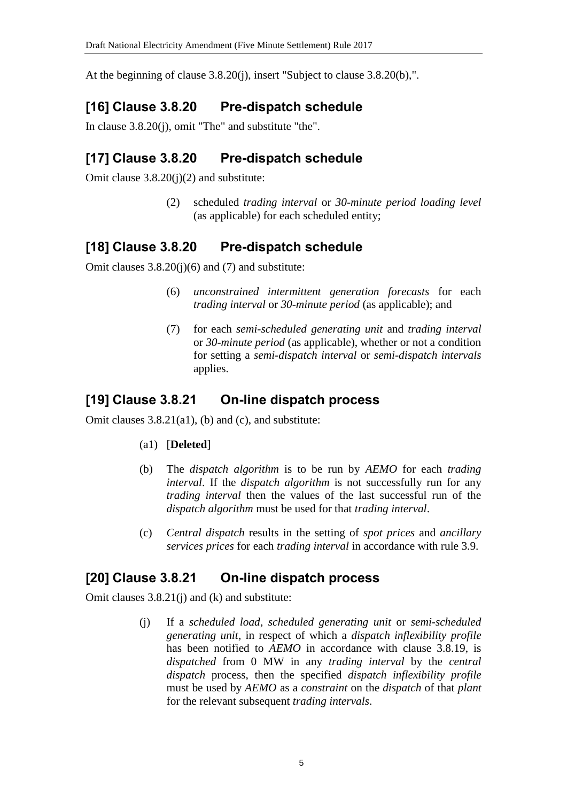At the beginning of clause 3.8.20(j), insert "Subject to clause 3.8.20(b),".

## **[16] Clause 3.8.20 Pre-dispatch schedule**

In clause 3.8.20(j), omit "The" and substitute "the".

#### **[17] Clause 3.8.20 Pre-dispatch schedule**

Omit clause 3.8.20(j)(2) and substitute:

(2) scheduled *trading interval* or *30-minute period loading level*  (as applicable) for each scheduled entity;

## **[18] Clause 3.8.20 Pre-dispatch schedule**

Omit clauses 3.8.20(j)(6) and (7) and substitute:

- (6) *unconstrained intermittent generation forecasts* for each *trading interval* or *30-minute period* (as applicable); and
- (7) for each *semi-scheduled generating unit* and *trading interval*  or *30-minute period* (as applicable), whether or not a condition for setting a *semi-dispatch interval* or *semi-dispatch intervals* applies.

## **[19] Clause 3.8.21 On-line dispatch process**

Omit clauses 3.8.21(a1), (b) and (c), and substitute:

- (a1) [**Deleted**]
- (b) The *dispatch algorithm* is to be run by *AEMO* for each *trading interval*. If the *dispatch algorithm* is not successfully run for any *trading interval* then the values of the last successful run of the *dispatch algorithm* must be used for that *trading interval*.
- (c) *Central dispatch* results in the setting of *spot prices* and *ancillary services prices* for each *trading interval* in accordance with rule 3.9.

#### **[20] Clause 3.8.21 On-line dispatch process**

Omit clauses 3.8.21(j) and (k) and substitute:

(j) If a *scheduled load*, *scheduled generating unit* or *semi-scheduled generating unit*, in respect of which a *dispatch inflexibility profile* has been notified to *AEMO* in accordance with clause 3.8.19, is *dispatched* from 0 MW in any *trading interval* by the *central dispatch* process, then the specified *dispatch inflexibility profile* must be used by *AEMO* as a *constraint* on the *dispatch* of that *plant* for the relevant subsequent *trading intervals*.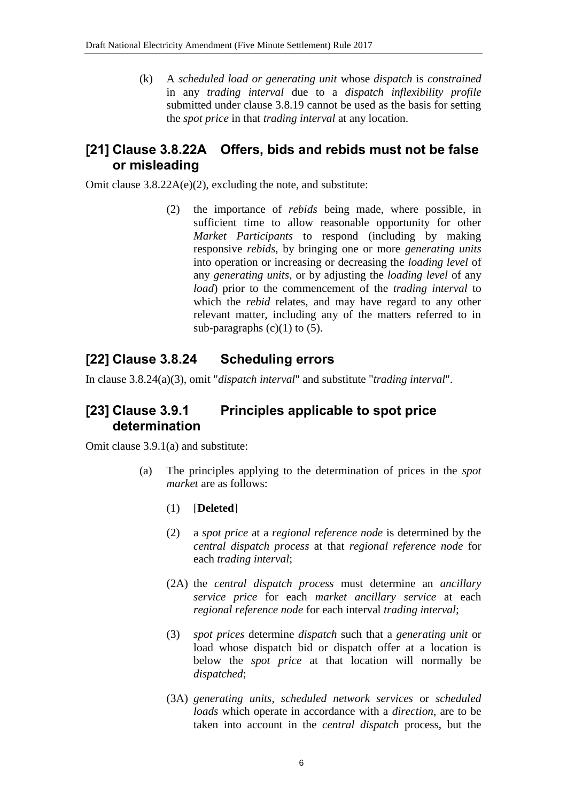(k) A *scheduled load or generating unit* whose *dispatch* is *constrained* in any *trading interval* due to a *dispatch inflexibility profile* submitted under clause 3.8.19 cannot be used as the basis for setting the *spot price* in that *trading interval* at any location.

## **[21] Clause 3.8.22A Offers, bids and rebids must not be false or misleading**

Omit clause 3.8.22A(e)(2), excluding the note, and substitute:

(2) the importance of *rebids* being made, where possible, in sufficient time to allow reasonable opportunity for other *Market Participants* to respond (including by making responsive *rebids*, by bringing one or more *generating units* into operation or increasing or decreasing the *loading level* of any *generating units*, or by adjusting the *loading level* of any *load*) prior to the commencement of the *trading interval* to which the *rebid* relates, and may have regard to any other relevant matter, including any of the matters referred to in sub-paragraphs  $(c)(1)$  to  $(5)$ .

## **[22] Clause 3.8.24 Scheduling errors**

In clause 3.8.24(a)(3), omit "*dispatch interval*" and substitute "*trading interval*".

## **[23] Clause 3.9.1 Principles applicable to spot price determination**

Omit clause 3.9.1(a) and substitute:

- (a) The principles applying to the determination of prices in the *spot market* are as follows:
	- (1) [**Deleted**]
	- (2) a *spot price* at a *regional reference node* is determined by the *central dispatch process* at that *regional reference node* for each *trading interval*;
	- (2A) the *central dispatch process* must determine an *ancillary service price* for each *market ancillary service* at each *regional reference node* for each interval *trading interval*;
	- (3) *spot prices* determine *dispatch* such that a *generating unit* or load whose dispatch bid or dispatch offer at a location is below the *spot price* at that location will normally be *dispatched*;
	- (3A) *generating units*, *scheduled network services* or *scheduled loads* which operate in accordance with a *direction*, are to be taken into account in the *central dispatch* process, but the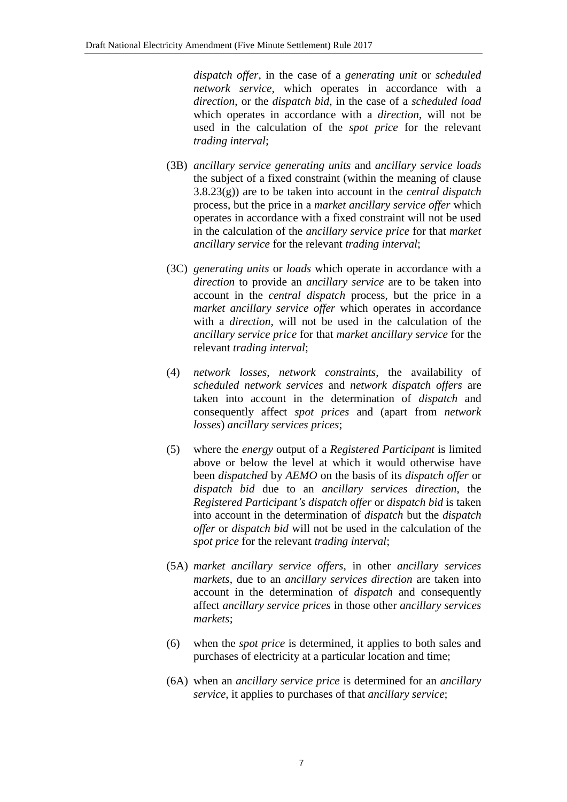*dispatch offer*, in the case of a *generating unit* or *scheduled network service*, which operates in accordance with a *direction*, or the *dispatch bid*, in the case of a *scheduled load* which operates in accordance with a *direction*, will not be used in the calculation of the *spot price* for the relevant *trading interval*;

- (3B) *ancillary service generating units* and *ancillary service loads* the subject of a fixed constraint (within the meaning of clause 3.8.23(g)) are to be taken into account in the *central dispatch* process, but the price in a *market ancillary service offer* which operates in accordance with a fixed constraint will not be used in the calculation of the *ancillary service price* for that *market ancillary service* for the relevant *trading interval*;
- (3C) *generating units* or *loads* which operate in accordance with a *direction* to provide an *ancillary service* are to be taken into account in the *central dispatch* process, but the price in a *market ancillary service offer* which operates in accordance with a *direction*, will not be used in the calculation of the *ancillary service price* for that *market ancillary service* for the relevant *trading interval*;
- (4) *network losses*, *network constraints*, the availability of *scheduled network services* and *network dispatch offers* are taken into account in the determination of *dispatch* and consequently affect *spot prices* and (apart from *network losses*) *ancillary services prices*;
- (5) where the *energy* output of a *Registered Participant* is limited above or below the level at which it would otherwise have been *dispatched* by *AEMO* on the basis of its *dispatch offer* or *dispatch bid* due to an *ancillary services direction*, the *Registered Participant's dispatch offer* or *dispatch bid* is taken into account in the determination of *dispatch* but the *dispatch offer* or *dispatch bid* will not be used in the calculation of the *spot price* for the relevant *trading interval*;
- (5A) *market ancillary service offers*, in other *ancillary services markets*, due to an *ancillary services direction* are taken into account in the determination of *dispatch* and consequently affect *ancillary service prices* in those other *ancillary services markets*;
- (6) when the *spot price* is determined, it applies to both sales and purchases of electricity at a particular location and time;
- (6A) when an *ancillary service price* is determined for an *ancillary service*, it applies to purchases of that *ancillary service*;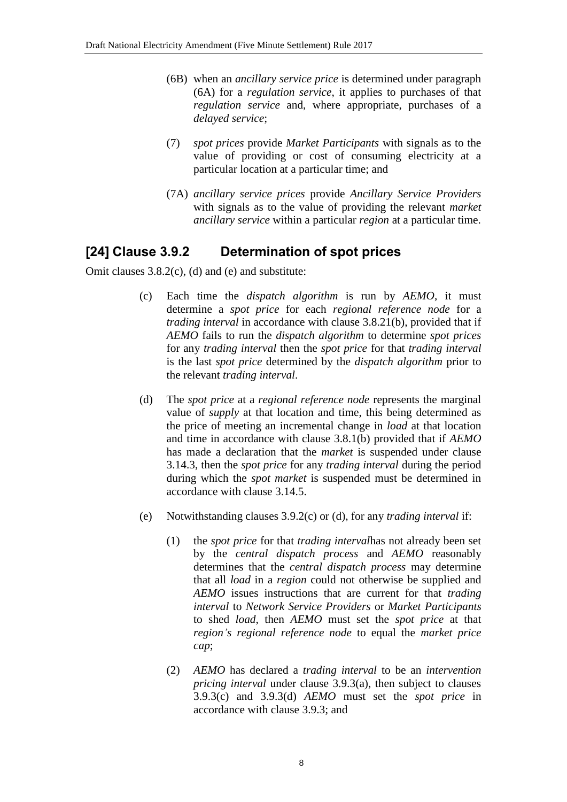- (6B) when an *ancillary service price* is determined under paragraph (6A) for a *regulation service*, it applies to purchases of that *regulation service* and, where appropriate, purchases of a *delayed service*;
- (7) *spot prices* provide *Market Participants* with signals as to the value of providing or cost of consuming electricity at a particular location at a particular time; and
- (7A) *ancillary service prices* provide *Ancillary Service Providers* with signals as to the value of providing the relevant *market ancillary service* within a particular *region* at a particular time.

#### **[24] Clause 3.9.2 Determination of spot prices**

Omit clauses 3.8.2(c), (d) and (e) and substitute:

- (c) Each time the *dispatch algorithm* is run by *AEMO*, it must determine a *spot price* for each *regional reference node* for a *trading interval* in accordance with clause 3.8.21(b), provided that if *AEMO* fails to run the *dispatch algorithm* to determine *spot prices* for any *trading interval* then the *spot price* for that *trading interval* is the last *spot price* determined by the *dispatch algorithm* prior to the relevant *trading interval*.
- (d) The *spot price* at a *regional reference node* represents the marginal value of *supply* at that location and time, this being determined as the price of meeting an incremental change in *load* at that location and time in accordance with clause 3.8.1(b) provided that if *AEMO* has made a declaration that the *market* is suspended under clause 3.14.3, then the *spot price* for any *trading interval* during the period during which the *spot market* is suspended must be determined in accordance with clause 3.14.5.
- (e) Notwithstanding clauses 3.9.2(c) or (d), for any *trading interval* if:
	- (1) the *spot price* for that *trading interval*has not already been set by the *central dispatch process* and *AEMO* reasonably determines that the *central dispatch process* may determine that all *load* in a *region* could not otherwise be supplied and *AEMO* issues instructions that are current for that *trading interval* to *Network Service Providers* or *Market Participants* to shed *load*, then *AEMO* must set the *spot price* at that *region's regional reference node* to equal the *market price cap*;
	- (2) *AEMO* has declared a *trading interval* to be an *intervention pricing interval* under clause 3.9.3(a), then subject to clauses 3.9.3(c) and 3.9.3(d) *AEMO* must set the *spot price* in accordance with clause 3.9.3; and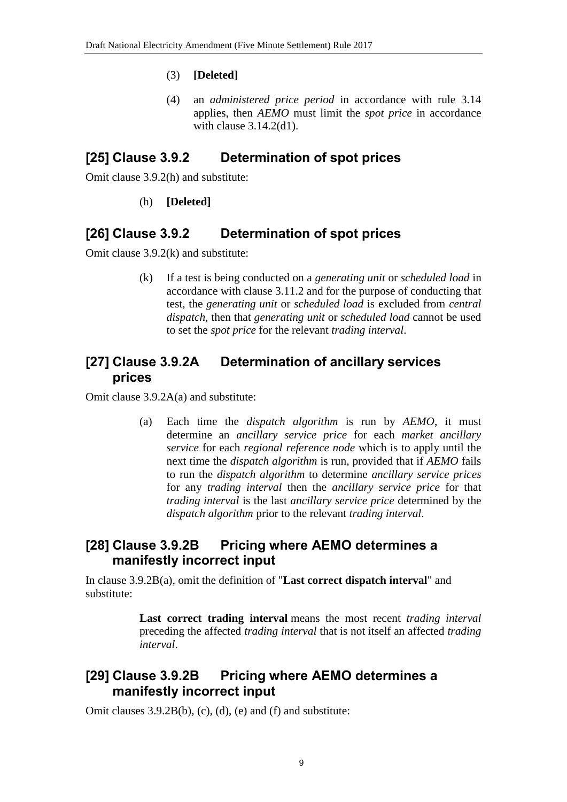#### (3) **[Deleted]**

(4) an *administered price period* in accordance with rule 3.14 applies, then *AEMO* must limit the *spot price* in accordance with clause 3.14.2(d1).

#### **[25] Clause 3.9.2 Determination of spot prices**

Omit clause 3.9.2(h) and substitute:

#### (h) **[Deleted]**

#### **[26] Clause 3.9.2 Determination of spot prices**

Omit clause 3.9.2(k) and substitute:

(k) If a test is being conducted on a *generating unit* or *scheduled load* in accordance with clause 3.11.2 and for the purpose of conducting that test, the *generating unit* or *scheduled load* is excluded from *central dispatch*, then that *generating unit* or *scheduled load* cannot be used to set the *spot price* for the relevant *trading interval*.

#### **[27] Clause 3.9.2A Determination of ancillary services prices**

Omit clause 3.9.2A(a) and substitute:

(a) Each time the *dispatch algorithm* is run by *AEMO*, it must determine an *ancillary service price* for each *market ancillary service* for each *regional reference node* which is to apply until the next time the *dispatch algorithm* is run, provided that if *AEMO* fails to run the *dispatch algorithm* to determine *ancillary service prices* for any *trading interval* then the *ancillary service price* for that *trading interval* is the last *ancillary service price* determined by the *dispatch algorithm* prior to the relevant *trading interval*.

#### **[28] Clause 3.9.2B Pricing where AEMO determines a manifestly incorrect input**

In clause 3.9.2B(a), omit the definition of "**Last correct dispatch interval**" and substitute:

> **Last correct trading interval** means the most recent *trading interval* preceding the affected *trading interval* that is not itself an affected *trading interval*.

#### **[29] Clause 3.9.2B Pricing where AEMO determines a manifestly incorrect input**

Omit clauses 3.9.2B(b), (c), (d), (e) and (f) and substitute: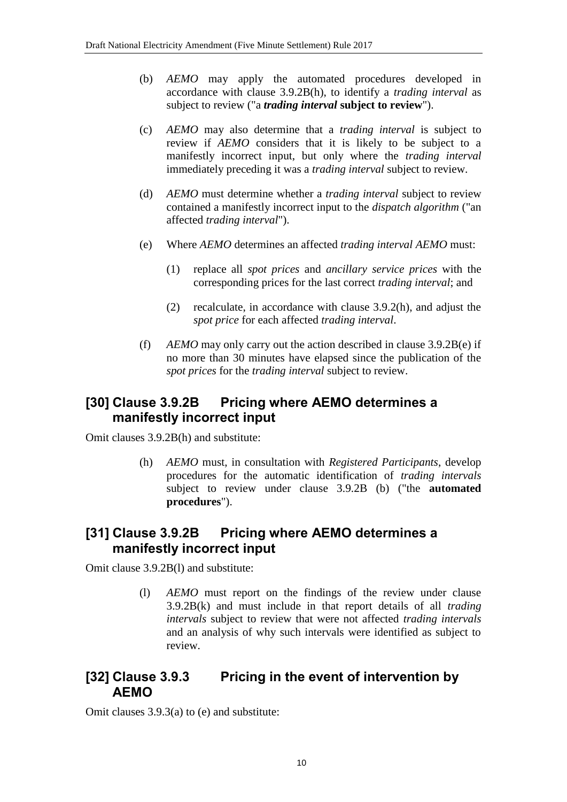- (b) *AEMO* may apply the automated procedures developed in accordance with clause 3.9.2B(h), to identify a *trading interval* as subject to review ("a *trading interval* **subject to review**").
- (c) *AEMO* may also determine that a *trading interval* is subject to review if *AEMO* considers that it is likely to be subject to a manifestly incorrect input, but only where the *trading interval* immediately preceding it was a *trading interval* subject to review.
- (d) *AEMO* must determine whether a *trading interval* subject to review contained a manifestly incorrect input to the *dispatch algorithm* ("an affected *trading interval*").
- (e) Where *AEMO* determines an affected *trading interval AEMO* must:
	- (1) replace all *spot prices* and *ancillary service prices* with the corresponding prices for the last correct *trading interval*; and
	- (2) recalculate, in accordance with clause 3.9.2(h), and adjust the *spot price* for each affected *trading interval*.
- (f) *AEMO* may only carry out the action described in clause 3.9.2B(e) if no more than 30 minutes have elapsed since the publication of the *spot prices* for the *trading interval* subject to review.

#### **[30] Clause 3.9.2B Pricing where AEMO determines a manifestly incorrect input**

Omit clauses 3.9.2B(h) and substitute:

(h) *AEMO* must, in consultation with *Registered Participants*, develop procedures for the automatic identification of *trading intervals* subject to review under clause 3.9.2B (b) ("the **automated procedures**").

#### **[31] Clause 3.9.2B Pricing where AEMO determines a manifestly incorrect input**

Omit clause 3.9.2B(l) and substitute:

(l) *AEMO* must report on the findings of the review under clause 3.9.2B(k) and must include in that report details of all *trading intervals* subject to review that were not affected *trading intervals* and an analysis of why such intervals were identified as subject to review.

#### **[32] Clause 3.9.3 Pricing in the event of intervention by AEMO**

Omit clauses 3.9.3(a) to (e) and substitute: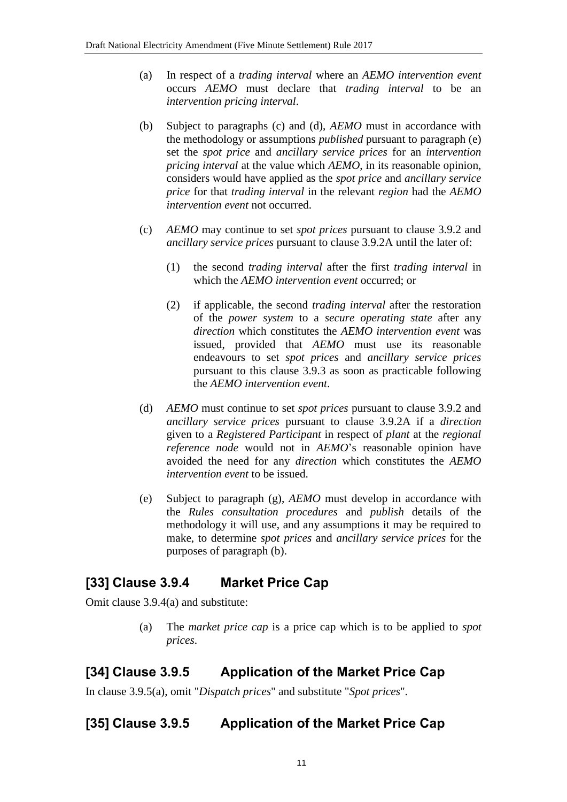- (a) In respect of a *trading interval* where an *AEMO intervention event* occurs *AEMO* must declare that *trading interval* to be an *intervention pricing interval*.
- (b) Subject to paragraphs (c) and (d), *AEMO* must in accordance with the methodology or assumptions *published* pursuant to paragraph (e) set the *spot price* and *ancillary service prices* for an *intervention pricing interval* at the value which *AEMO*, in its reasonable opinion, considers would have applied as the *spot price* and *ancillary service price* for that *trading interval* in the relevant *region* had the *AEMO intervention event* not occurred.
- (c) *AEMO* may continue to set *spot prices* pursuant to clause 3.9.2 and *ancillary service prices* pursuant to clause 3.9.2A until the later of:
	- (1) the second *trading interval* after the first *trading interval* in which the *AEMO intervention event* occurred; or
	- (2) if applicable, the second *trading interval* after the restoration of the *power system* to a *secure operating state* after any *direction* which constitutes the *AEMO intervention event* was issued, provided that *AEMO* must use its reasonable endeavours to set *spot prices* and *ancillary service prices* pursuant to this clause 3.9.3 as soon as practicable following the *AEMO intervention event*.
- (d) *AEMO* must continue to set *spot prices* pursuant to clause 3.9.2 and *ancillary service prices* pursuant to clause 3.9.2A if a *direction* given to a *Registered Participant* in respect of *plant* at the *regional reference node* would not in *AEMO*'s reasonable opinion have avoided the need for any *direction* which constitutes the *AEMO intervention event* to be issued.
- (e) Subject to paragraph (g), *AEMO* must develop in accordance with the *Rules consultation procedures* and *publish* details of the methodology it will use, and any assumptions it may be required to make, to determine *spot prices* and *ancillary service prices* for the purposes of paragraph (b).

## **[33] Clause 3.9.4 Market Price Cap**

Omit clause 3.9.4(a) and substitute:

(a) The *market price cap* is a price cap which is to be applied to *spot prices*.

## **[34] Clause 3.9.5 Application of the Market Price Cap**

In clause 3.9.5(a), omit "*Dispatch prices*" and substitute "*Spot prices*".

# **[35] Clause 3.9.5 Application of the Market Price Cap**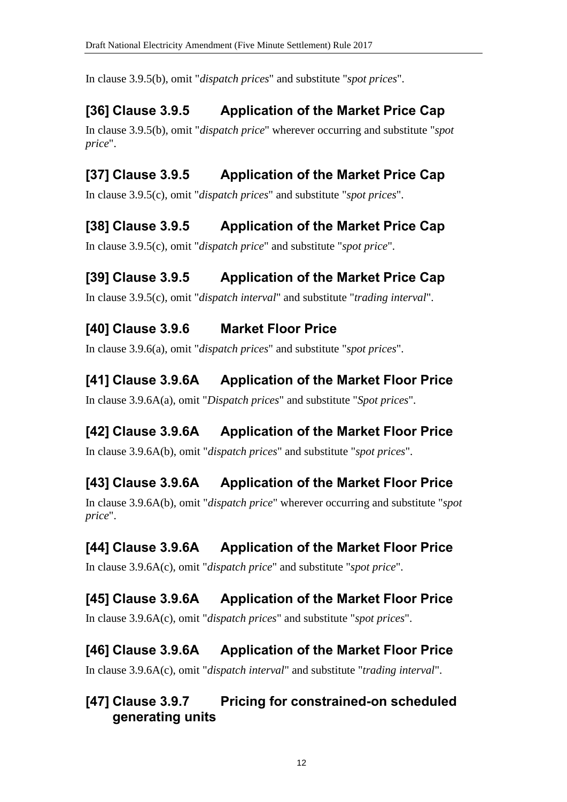In clause 3.9.5(b), omit "*dispatch prices*" and substitute "*spot prices*".

# **[36] Clause 3.9.5 Application of the Market Price Cap**

In clause 3.9.5(b), omit "*dispatch price*" wherever occurring and substitute "*spot price*".

# **[37] Clause 3.9.5 Application of the Market Price Cap**

In clause 3.9.5(c), omit "*dispatch prices*" and substitute "*spot prices*".

# **[38] Clause 3.9.5 Application of the Market Price Cap**

In clause 3.9.5(c), omit "*dispatch price*" and substitute "*spot price*".

# **[39] Clause 3.9.5 Application of the Market Price Cap**

In clause 3.9.5(c), omit "*dispatch interval*" and substitute "*trading interval*".

# **[40] Clause 3.9.6 Market Floor Price**

In clause 3.9.6(a), omit "*dispatch prices*" and substitute "*spot prices*".

# **[41] Clause 3.9.6A Application of the Market Floor Price**

In clause 3.9.6A(a), omit "*Dispatch prices*" and substitute "*Spot prices*".

# **[42] Clause 3.9.6A Application of the Market Floor Price**

In clause 3.9.6A(b), omit "*dispatch prices*" and substitute "*spot prices*".

# **[43] Clause 3.9.6A Application of the Market Floor Price**

In clause 3.9.6A(b), omit "*dispatch price*" wherever occurring and substitute "*spot price*".

# **[44] Clause 3.9.6A Application of the Market Floor Price**

In clause 3.9.6A(c), omit "*dispatch price*" and substitute "*spot price*".

# **[45] Clause 3.9.6A Application of the Market Floor Price**

In clause 3.9.6A(c), omit "*dispatch prices*" and substitute "*spot prices*".

# **[46] Clause 3.9.6A Application of the Market Floor Price**

In clause 3.9.6A(c), omit "*dispatch interval*" and substitute "*trading interval*".

# **[47] Clause 3.9.7 Pricing for constrained-on scheduled generating units**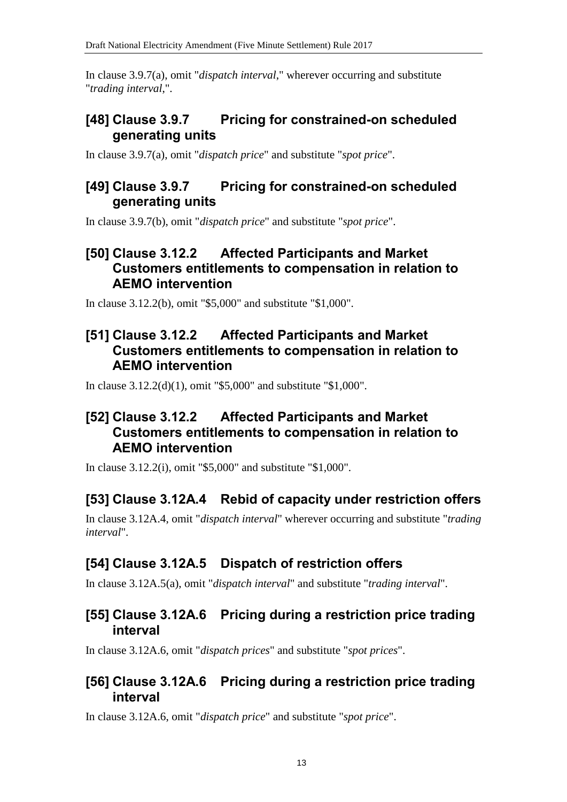In clause 3.9.7(a), omit "*dispatch interval*," wherever occurring and substitute "*trading interval*,".

## **[48] Clause 3.9.7 Pricing for constrained-on scheduled generating units**

In clause 3.9.7(a), omit "*dispatch price*" and substitute "*spot price*".

#### **[49] Clause 3.9.7 Pricing for constrained-on scheduled generating units**

In clause 3.9.7(b), omit "*dispatch price*" and substitute "*spot price*".

## **[50] Clause 3.12.2 Affected Participants and Market Customers entitlements to compensation in relation to AEMO intervention**

In clause 3.12.2(b), omit "\$5,000" and substitute "\$1,000".

## **[51] Clause 3.12.2 Affected Participants and Market Customers entitlements to compensation in relation to AEMO intervention**

In clause 3.12.2(d)(1), omit "\$5,000" and substitute "\$1,000".

# **[52] Clause 3.12.2 Affected Participants and Market Customers entitlements to compensation in relation to AEMO intervention**

In clause 3.12.2(i), omit "\$5,000" and substitute "\$1,000".

## **[53] Clause 3.12A.4 Rebid of capacity under restriction offers**

In clause 3.12A.4, omit "*dispatch interval*" wherever occurring and substitute "*trading interval*".

# **[54] Clause 3.12A.5 Dispatch of restriction offers**

In clause 3.12A.5(a), omit "*dispatch interval*" and substitute "*trading interval*".

#### **[55] Clause 3.12A.6 Pricing during a restriction price trading interval**

In clause 3.12A.6, omit "*dispatch prices*" and substitute "*spot prices*".

#### **[56] Clause 3.12A.6 Pricing during a restriction price trading interval**

In clause 3.12A.6, omit "*dispatch price*" and substitute "*spot price*".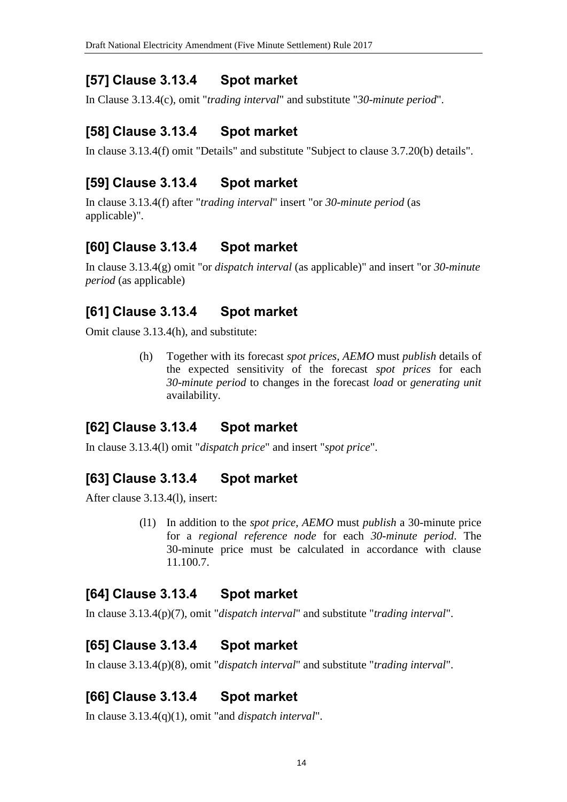## **[57] Clause 3.13.4 Spot market**

In Clause 3.13.4(c), omit "*trading interval*" and substitute "*30-minute period*".

# **[58] Clause 3.13.4 Spot market**

In clause 3.13.4(f) omit "Details" and substitute "Subject to clause 3.7.20(b) details".

# **[59] Clause 3.13.4 Spot market**

In clause 3.13.4(f) after "*trading interval*" insert "or *30-minute period* (as applicable)".

# **[60] Clause 3.13.4 Spot market**

In clause 3.13.4(g) omit "or *dispatch interval* (as applicable)" and insert "or *30-minute period* (as applicable)

# **[61] Clause 3.13.4 Spot market**

Omit clause 3.13.4(h), and substitute:

(h) Together with its forecast *spot prices*, *AEMO* must *publish* details of the expected sensitivity of the forecast *spot prices* for each *30-minute period* to changes in the forecast *load* or *generating unit* availability.

## **[62] Clause 3.13.4 Spot market**

In clause 3.13.4(l) omit "*dispatch price*" and insert "*spot price*".

## **[63] Clause 3.13.4 Spot market**

After clause 3.13.4(l), insert:

(l1) In addition to the *spot price*, *AEMO* must *publish* a 30-minute price for a *regional reference node* for each *30-minute period*. The 30-minute price must be calculated in accordance with clause 11.100.7.

## **[64] Clause 3.13.4 Spot market**

In clause 3.13.4(p)(7), omit "*dispatch interval*" and substitute "*trading interval*".

## **[65] Clause 3.13.4 Spot market**

In clause 3.13.4(p)(8), omit "*dispatch interval*" and substitute "*trading interval*".

# **[66] Clause 3.13.4 Spot market**

In clause 3.13.4(q)(1), omit "and *dispatch interval*".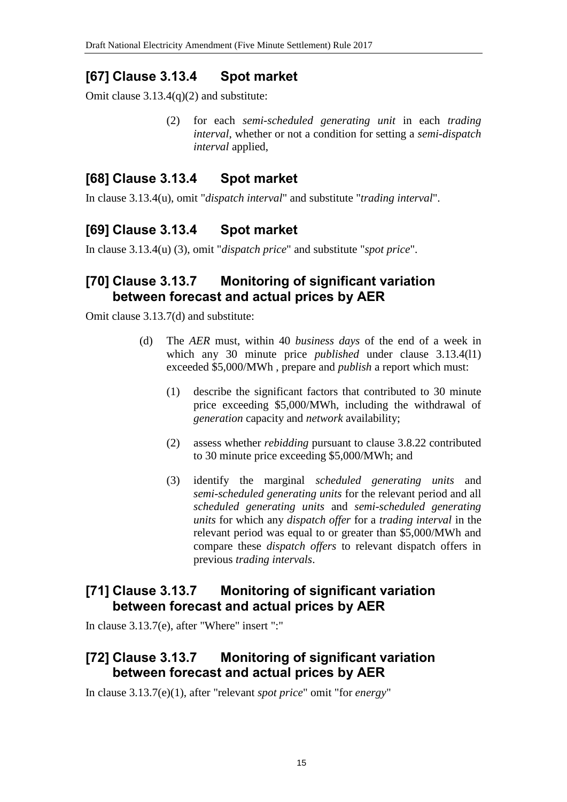## **[67] Clause 3.13.4 Spot market**

Omit clause 3.13.4(q)(2) and substitute:

(2) for each *semi-scheduled generating unit* in each *trading interval*, whether or not a condition for setting a *semi-dispatch interval* applied,

## **[68] Clause 3.13.4 Spot market**

In clause 3.13.4(u), omit "*dispatch interval*" and substitute "*trading interval*".

## **[69] Clause 3.13.4 Spot market**

In clause 3.13.4(u) (3), omit "*dispatch price*" and substitute "*spot price*".

#### **[70] Clause 3.13.7 Monitoring of significant variation between forecast and actual prices by AER**

Omit clause 3.13.7(d) and substitute:

- (d) The *AER* must, within 40 *business days* of the end of a week in which any 30 minute price *published* under clause 3.13.4(l1) exceeded \$5,000/MWh , prepare and *publish* a report which must:
	- (1) describe the significant factors that contributed to 30 minute price exceeding \$5,000/MWh, including the withdrawal of *generation* capacity and *network* availability;
	- (2) assess whether *rebidding* pursuant to clause 3.8.22 contributed to 30 minute price exceeding \$5,000/MWh; and
	- (3) identify the marginal *scheduled generating units* and *semi-scheduled generating units* for the relevant period and all *scheduled generating units* and *semi-scheduled generating units* for which any *dispatch offer* for a *trading interval* in the relevant period was equal to or greater than \$5,000/MWh and compare these *dispatch offers* to relevant dispatch offers in previous *trading intervals*.

#### **[71] Clause 3.13.7 Monitoring of significant variation between forecast and actual prices by AER**

In clause 3.13.7(e), after "Where" insert ":"

# **[72] Clause 3.13.7 Monitoring of significant variation between forecast and actual prices by AER**

In clause 3.13.7(e)(1), after "relevant *spot price*" omit "for *energy*"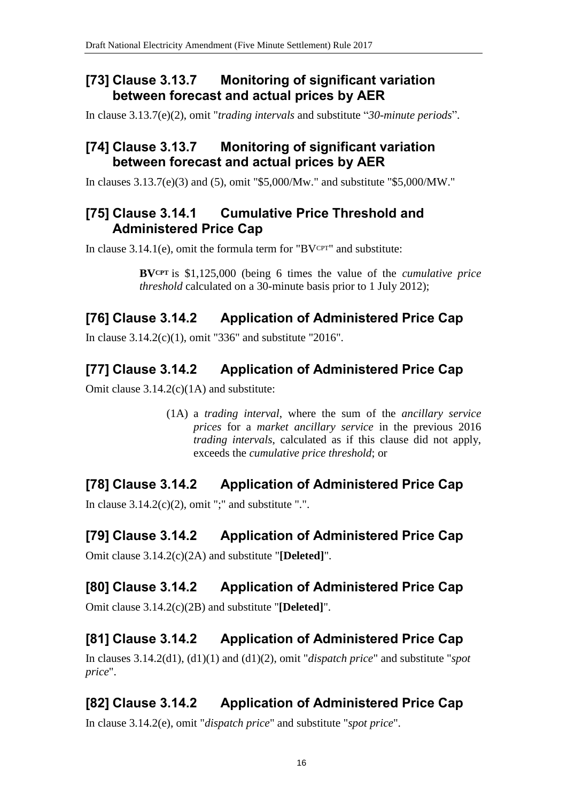## **[73] Clause 3.13.7 Monitoring of significant variation between forecast and actual prices by AER**

In clause 3.13.7(e)(2), omit "*trading intervals* and substitute "*30-minute periods*".

## **[74] Clause 3.13.7 Monitoring of significant variation between forecast and actual prices by AER**

In clauses 3.13.7(e)(3) and (5), omit "\$5,000/Mw." and substitute "\$5,000/MW."

# **[75] Clause 3.14.1 Cumulative Price Threshold and Administered Price Cap**

In clause  $3.14.1(e)$ , omit the formula term for "BVCPT" and substitute:

**BVCPT** is \$1,125,000 (being 6 times the value of the *cumulative price threshold* calculated on a 30-minute basis prior to 1 July 2012);

# **[76] Clause 3.14.2 Application of Administered Price Cap**

In clause 3.14.2(c)(1), omit "336" and substitute "2016".

# **[77] Clause 3.14.2 Application of Administered Price Cap**

Omit clause 3.14.2(c)(1A) and substitute:

(1A) a *trading interval*, where the sum of the *ancillary service prices* for a *market ancillary service* in the previous 2016 *trading intervals*, calculated as if this clause did not apply, exceeds the *cumulative price threshold*; or

# **[78] Clause 3.14.2 Application of Administered Price Cap**

In clause  $3.14.2(c)(2)$ , omit ";" and substitute ".".

# **[79] Clause 3.14.2 Application of Administered Price Cap**

Omit clause 3.14.2(c)(2A) and substitute "**[Deleted]**".

# **[80] Clause 3.14.2 Application of Administered Price Cap**

Omit clause 3.14.2(c)(2B) and substitute "**[Deleted]**".

# **[81] Clause 3.14.2 Application of Administered Price Cap**

In clauses 3.14.2(d1), (d1)(1) and (d1)(2), omit "*dispatch price*" and substitute "*spot price*".

# **[82] Clause 3.14.2 Application of Administered Price Cap**

In clause 3.14.2(e), omit "*dispatch price*" and substitute "*spot price*".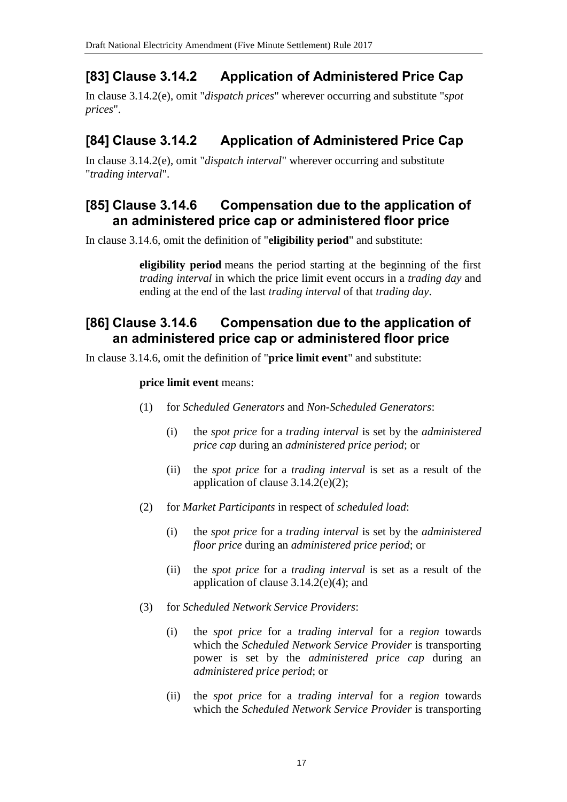# **[83] Clause 3.14.2 Application of Administered Price Cap**

In clause 3.14.2(e), omit "*dispatch prices*" wherever occurring and substitute "*spot prices*".

# **[84] Clause 3.14.2 Application of Administered Price Cap**

In clause 3.14.2(e), omit "*dispatch interval*" wherever occurring and substitute "*trading interval*".

## **[85] Clause 3.14.6 Compensation due to the application of an administered price cap or administered floor price**

In clause 3.14.6, omit the definition of "**eligibility period**" and substitute:

**eligibility period** means the period starting at the beginning of the first *trading interval* in which the price limit event occurs in a *trading day* and ending at the end of the last *trading interval* of that *trading day*.

#### **[86] Clause 3.14.6 Compensation due to the application of an administered price cap or administered floor price**

In clause 3.14.6, omit the definition of "**price limit event**" and substitute:

#### **price limit event** means:

- (1) for *Scheduled Generators* and *Non-Scheduled Generators*:
	- (i) the *spot price* for a *trading interval* is set by the *administered price cap* during an *administered price period*; or
	- (ii) the *spot price* for a *trading interval* is set as a result of the application of clause  $3.14.2(e)(2)$ ;
- (2) for *Market Participants* in respect of *scheduled load*:
	- (i) the *spot price* for a *trading interval* is set by the *administered floor price* during an *administered price period*; or
	- (ii) the *spot price* for a *trading interval* is set as a result of the application of clause  $3.14.2(e)(4)$ ; and
- (3) for *Scheduled Network Service Providers*:
	- (i) the *spot price* for a *trading interval* for a *region* towards which the *Scheduled Network Service Provider* is transporting power is set by the *administered price cap* during an *administered price period*; or
	- (ii) the *spot price* for a *trading interval* for a *region* towards which the *Scheduled Network Service Provider* is transporting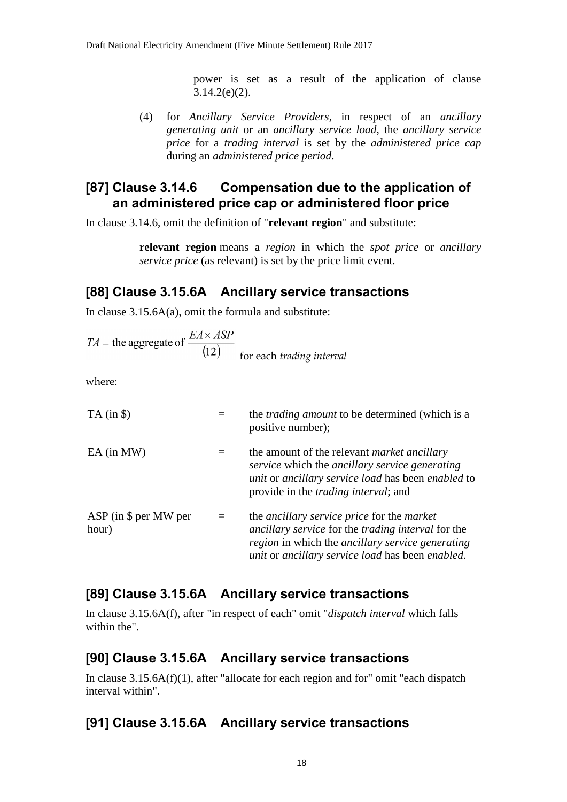power is set as a result of the application of clause  $3.14.2(e)(2)$ .

(4) for *Ancillary Service Providers*, in respect of an *ancillary generating unit* or an *ancillary service load*, the *ancillary service price* for a *trading interval* is set by the *administered price cap* during an *administered price period*.

#### **[87] Clause 3.14.6 Compensation due to the application of an administered price cap or administered floor price**

In clause 3.14.6, omit the definition of "**relevant region**" and substitute:

**relevant region** means a *region* in which the *spot price* or *ancillary service price* (as relevant) is set by the price limit event.

# **[88] Clause 3.15.6A Ancillary service transactions**

In clause  $3.15.6A(a)$ , omit the formula and substitute:

$$
TA
$$
 = the aggregate of  $\frac{EA \times ASP}{(12)}$  for each *trading interval*

where:

| $TA$ (in $\$\$ )                 |          | the <i>trading amount</i> to be determined (which is a<br>positive number);                                                                                                                                                          |  |
|----------------------------------|----------|--------------------------------------------------------------------------------------------------------------------------------------------------------------------------------------------------------------------------------------|--|
| $EA$ (in MW)                     | $\equiv$ | the amount of the relevant <i>market ancillary</i><br>service which the ancillary service generating<br>unit or ancillary service load has been enabled to<br>provide in the <i>trading interval</i> ; and                           |  |
| $ASP$ (in \$ per MW per<br>hour) | $\equiv$ | the <i>ancillary service price</i> for the <i>market</i><br><i>ancillary service</i> for the <i>trading interval</i> for the<br>region in which the ancillary service generating<br>unit or ancillary service load has been enabled. |  |

## **[89] Clause 3.15.6A Ancillary service transactions**

In clause 3.15.6A(f), after "in respect of each" omit "*dispatch interval* which falls within the".

## **[90] Clause 3.15.6A Ancillary service transactions**

In clause 3.15.6A(f)(1), after "allocate for each region and for" omit "each dispatch interval within".

# **[91] Clause 3.15.6A Ancillary service transactions**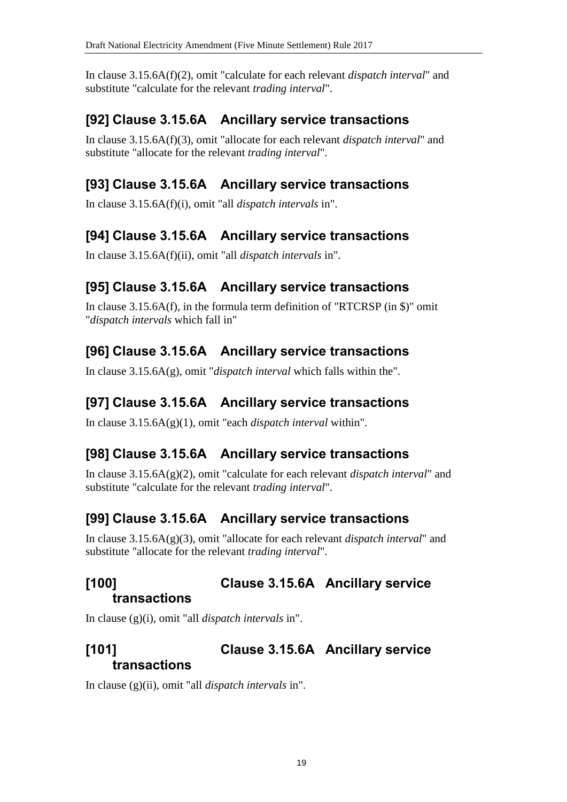In clause 3.15.6A(f)(2), omit "calculate for each relevant *dispatch interval*" and substitute "calculate for the relevant *trading interval*".

# **[92] Clause 3.15.6A Ancillary service transactions**

In clause 3.15.6A(f)(3), omit "allocate for each relevant *dispatch interval*" and substitute "allocate for the relevant *trading interval*".

# **[93] Clause 3.15.6A Ancillary service transactions**

In clause 3.15.6A(f)(i), omit "all *dispatch intervals* in".

## **[94] Clause 3.15.6A Ancillary service transactions**

In clause 3.15.6A(f)(ii), omit "all *dispatch intervals* in".

# **[95] Clause 3.15.6A Ancillary service transactions**

In clause 3.15.6A(f), in the formula term definition of "RTCRSP (in \$)" omit "*dispatch intervals* which fall in"

# **[96] Clause 3.15.6A Ancillary service transactions**

In clause 3.15.6A(g), omit "*dispatch interval* which falls within the".

## **[97] Clause 3.15.6A Ancillary service transactions**

In clause 3.15.6A(g)(1), omit "each *dispatch interval* within".

## **[98] Clause 3.15.6A Ancillary service transactions**

In clause 3.15.6A(g)(2), omit "calculate for each relevant *dispatch interval*" and substitute "calculate for the relevant *trading interval*".

## **[99] Clause 3.15.6A Ancillary service transactions**

In clause 3.15.6A(g)(3), omit "allocate for each relevant *dispatch interval*" and substitute "allocate for the relevant *trading interval*".

#### **[100] Clause 3.15.6A Ancillary service transactions**

In clause (g)(i), omit "all *dispatch intervals* in".

# **[101] Clause 3.15.6A Ancillary service transactions**

In clause (g)(ii), omit "all *dispatch intervals* in".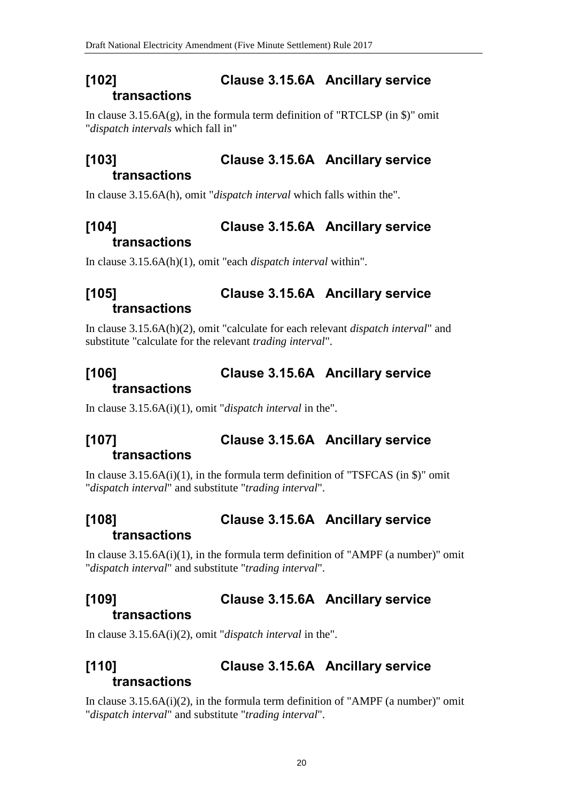## **[102] Clause 3.15.6A Ancillary service transactions**

In clause  $3.15.6A(g)$ , in the formula term definition of "RTCLSP (in \$)" omit "*dispatch intervals* which fall in"

# **[103] Clause 3.15.6A Ancillary service transactions**

In clause 3.15.6A(h), omit "*dispatch interval* which falls within the".

# **[104] Clause 3.15.6A Ancillary service transactions**

In clause 3.15.6A(h)(1), omit "each *dispatch interval* within".

# **[105] Clause 3.15.6A Ancillary service transactions**

In clause 3.15.6A(h)(2), omit "calculate for each relevant *dispatch interval*" and substitute "calculate for the relevant *trading interval*".

# **[106] Clause 3.15.6A Ancillary service transactions**

In clause 3.15.6A(i)(1), omit "*dispatch interval* in the".

# **[107] Clause 3.15.6A Ancillary service transactions**

In clause  $3.15.6A(i)(1)$ , in the formula term definition of "TSFCAS (in \$)" omit "*dispatch interval*" and substitute "*trading interval*".

# **[108] Clause 3.15.6A Ancillary service transactions**

In clause  $3.15.6A(i)(1)$ , in the formula term definition of "AMPF (a number)" omit "*dispatch interval*" and substitute "*trading interval*".

#### **[109] Clause 3.15.6A Ancillary service transactions**

In clause 3.15.6A(i)(2), omit "*dispatch interval* in the".

# **[110] Clause 3.15.6A Ancillary service transactions**

In clause  $3.15.6A(i)(2)$ , in the formula term definition of "AMPF (a number)" omit "*dispatch interval*" and substitute "*trading interval*".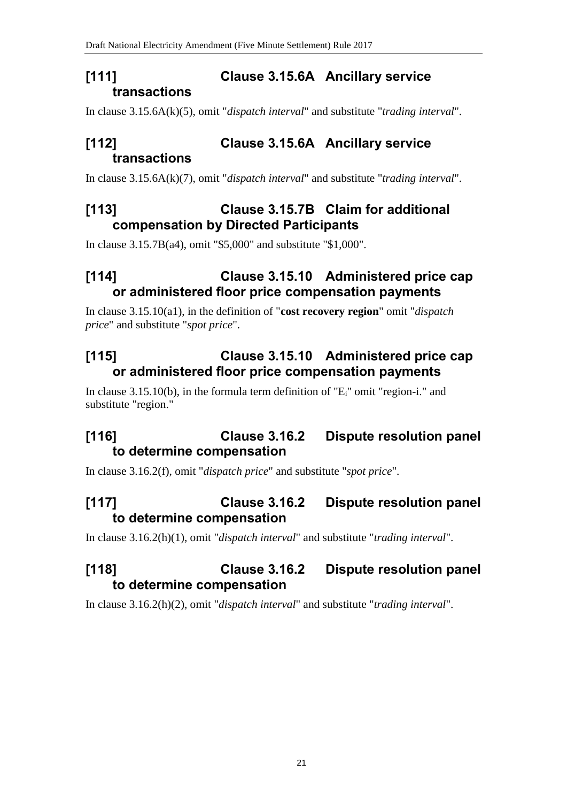# **[111] Clause 3.15.6A Ancillary service transactions**

In clause 3.15.6A(k)(5), omit "*dispatch interval*" and substitute "*trading interval*".

# **[112] Clause 3.15.6A Ancillary service transactions**

In clause 3.15.6A(k)(7), omit "*dispatch interval*" and substitute "*trading interval*".

# **[113] Clause 3.15.7B Claim for additional compensation by Directed Participants**

In clause 3.15.7B(a4), omit "\$5,000" and substitute "\$1,000".

# **[114] Clause 3.15.10 Administered price cap or administered floor price compensation payments**

In clause 3.15.10(a1), in the definition of "**cost recovery region**" omit "*dispatch price*" and substitute "*spot price*".

# **[115] Clause 3.15.10 Administered price cap or administered floor price compensation payments**

In clause 3.15.10(b), in the formula term definition of "Ei" omit "region-i." and substitute "region."

# **[116] Clause 3.16.2 Dispute resolution panel to determine compensation**

In clause 3.16.2(f), omit "*dispatch price*" and substitute "*spot price*".

# **[117] Clause 3.16.2 Dispute resolution panel to determine compensation**

In clause 3.16.2(h)(1), omit "*dispatch interval*" and substitute "*trading interval*".

# **[118] Clause 3.16.2 Dispute resolution panel to determine compensation**

In clause 3.16.2(h)(2), omit "*dispatch interval*" and substitute "*trading interval*".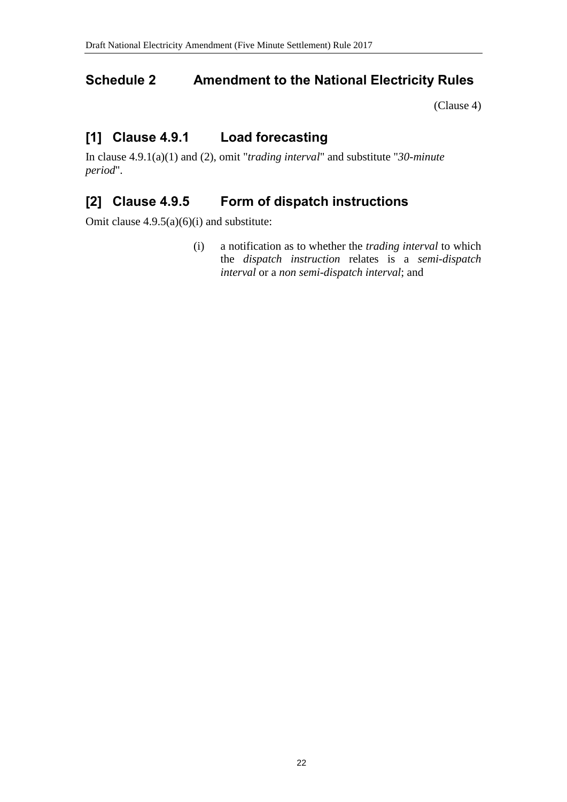# <span id="page-21-0"></span>**Schedule 2 Amendment to the National Electricity Rules**

[\(Clause 4\)](#page-1-1)

# **[1] Clause 4.9.1 Load forecasting**

In clause 4.9.1(a)(1) and (2), omit "*trading interval*" and substitute "*30-minute period*".

# **[2] Clause 4.9.5 Form of dispatch instructions**

Omit clause  $4.9.5(a)(6)(i)$  and substitute:

(i) a notification as to whether the *trading interval* to which the *dispatch instruction* relates is a *semi-dispatch interval* or a *non semi-dispatch interval*; and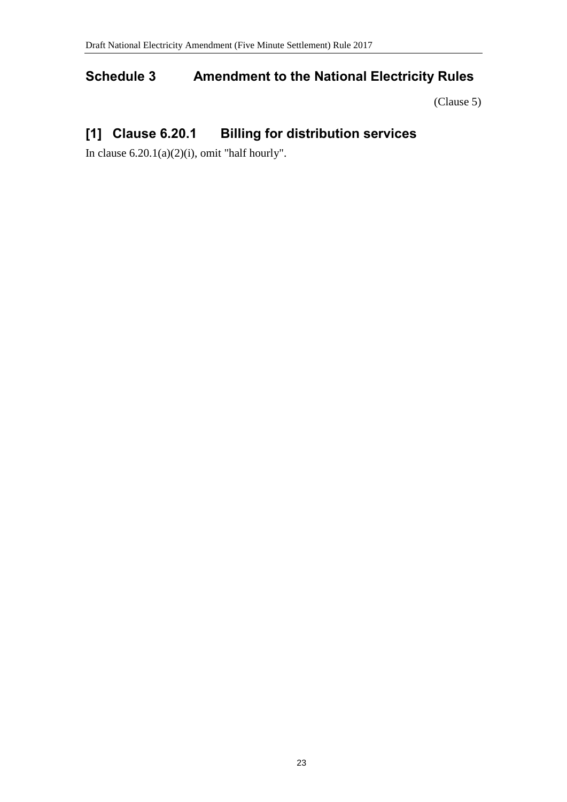# <span id="page-22-0"></span>**Schedule 3 Amendment to the National Electricity Rules**

[\(Clause 5\)](#page-1-2)

# **[1] Clause 6.20.1 Billing for distribution services**

In clause  $6.20.1(a)(2)(i)$ , omit "half hourly".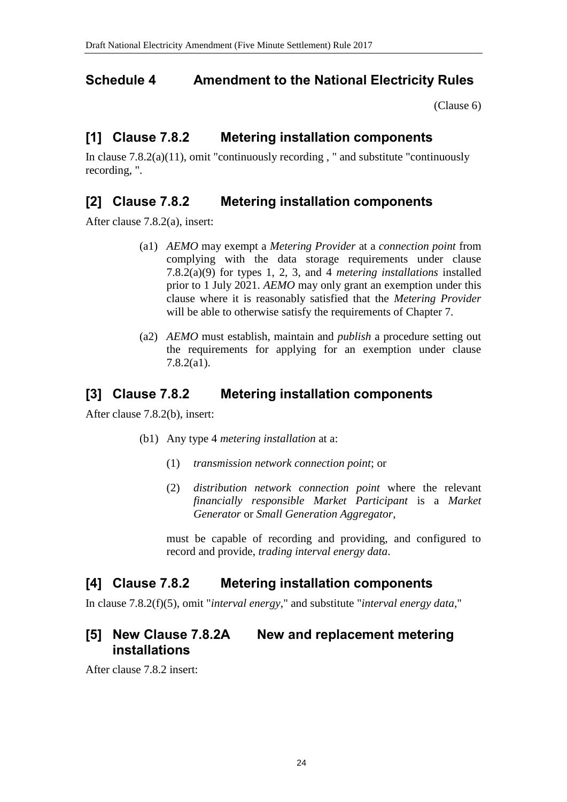## <span id="page-23-0"></span>**Schedule 4 Amendment to the National Electricity Rules**

[\(Clause 6\)](#page-1-3)

# **[1] Clause 7.8.2 Metering installation components**

In clause  $7.8.2(a)(11)$ , omit "continuously recording," and substitute "continuously recording, ".

## **[2] Clause 7.8.2 Metering installation components**

After clause 7.8.2(a), insert:

- (a1) *AEMO* may exempt a *Metering Provider* at a *connection point* from complying with the data storage requirements under clause 7.8.2(a)(9) for types 1, 2, 3, and 4 *metering installations* installed prior to 1 July 2021. *AEMO* may only grant an exemption under this clause where it is reasonably satisfied that the *Metering Provider* will be able to otherwise satisfy the requirements of Chapter 7.
- (a2) *AEMO* must establish, maintain and *publish* a procedure setting out the requirements for applying for an exemption under clause 7.8.2(a1).

#### **[3] Clause 7.8.2 Metering installation components**

After clause 7.8.2(b), insert:

- (b1) Any type 4 *metering installation* at a:
	- (1) *transmission network connection point*; or
	- (2) *distribution network connection point* where the relevant *financially responsible Market Participant* is a *Market Generator* or *Small Generation Aggregator*,

must be capable of recording and providing, and configured to record and provide, *trading interval energy data*.

## **[4] Clause 7.8.2 Metering installation components**

In clause 7.8.2(f)(5), omit "*interval energy*," and substitute "*interval energy data*,"

## **[5] New Clause 7.8.2A New and replacement metering installations**

After clause 7.8.2 insert: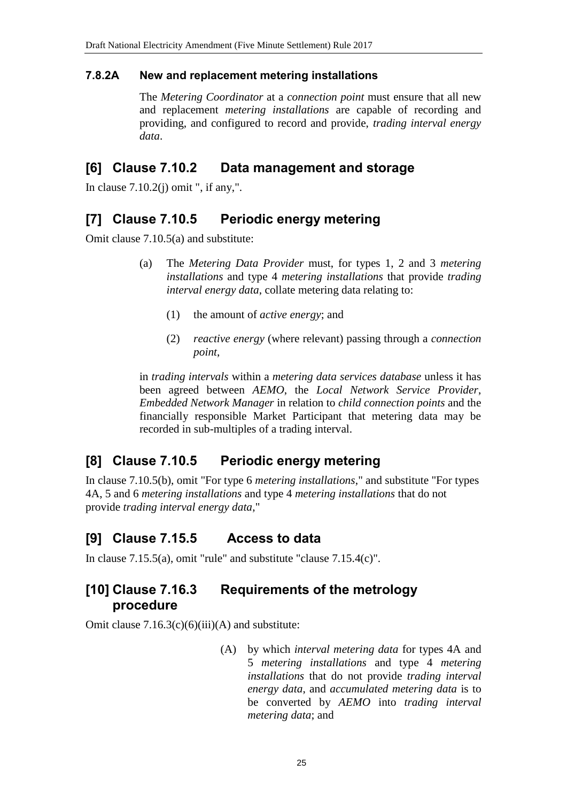#### **7.8.2A New and replacement metering installations**

The *Metering Coordinator* at a *connection point* must ensure that all new and replacement *metering installations* are capable of recording and providing, and configured to record and provide, *trading interval energy data*.

#### **[6] Clause 7.10.2 Data management and storage**

In clause  $7.10.2(j)$  omit ", if any,".

#### **[7] Clause 7.10.5 Periodic energy metering**

Omit clause 7.10.5(a) and substitute:

- (a) The *Metering Data Provider* must, for types 1, 2 and 3 *metering installations* and type 4 *metering installations* that provide *trading interval energy data*, collate metering data relating to:
	- (1) the amount of *active energy*; and
	- (2) *reactive energy* (where relevant) passing through a *connection point*,

in *trading intervals* within a *metering data services database* unless it has been agreed between *AEMO*, the *Local Network Service Provider*, *Embedded Network Manager* in relation to *child connection points* and the financially responsible Market Participant that metering data may be recorded in sub-multiples of a trading interval.

## **[8] Clause 7.10.5 Periodic energy metering**

In clause 7.10.5(b), omit "For type 6 *metering installations*," and substitute "For types 4A, 5 and 6 *metering installations* and type 4 *metering installations* that do not provide *trading interval energy data*,"

## **[9] Clause 7.15.5 Access to data**

In clause 7.15.5(a), omit "rule" and substitute "clause 7.15.4(c)".

## **[10] Clause 7.16.3 Requirements of the metrology procedure**

Omit clause  $7.16.3(c)(6)(iii)(A)$  and substitute:

(A) by which *interval metering data* for types 4A and 5 *metering installations* and type 4 *metering installations* that do not provide *trading interval energy data*, and *accumulated metering data* is to be converted by *AEMO* into *trading interval metering data*; and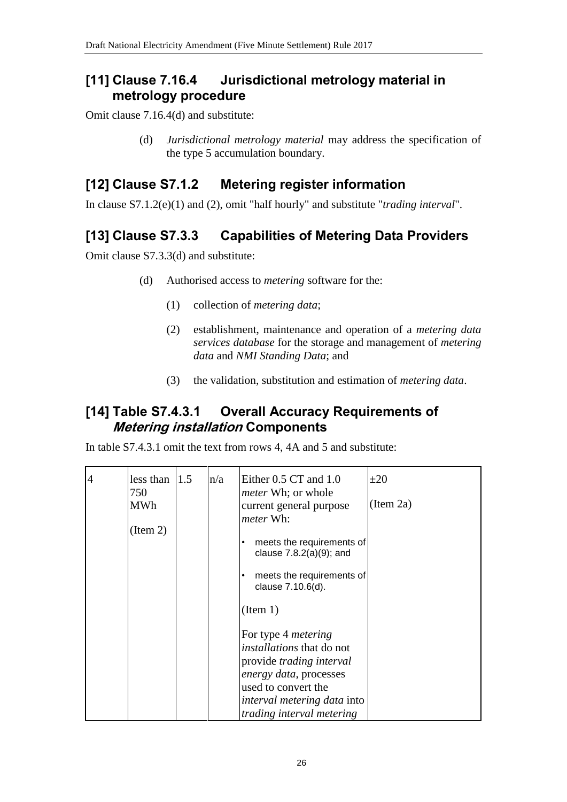#### **[11] Clause 7.16.4 Jurisdictional metrology material in metrology procedure**

Omit clause 7.16.4(d) and substitute:

(d) *Jurisdictional metrology material* may address the specification of the type 5 accumulation boundary.

## **[12] Clause S7.1.2 Metering register information**

In clause S7.1.2(e)(1) and (2), omit "half hourly" and substitute "*trading interval*".

# **[13] Clause S7.3.3 Capabilities of Metering Data Providers**

Omit clause S7.3.3(d) and substitute:

- (d) Authorised access to *metering* software for the:
	- (1) collection of *metering data*;
	- (2) establishment, maintenance and operation of a *metering data services database* for the storage and management of *metering data* and *NMI Standing Data*; and
	- (3) the validation, substitution and estimation of *metering data*.

# **[14] Table S7.4.3.1 Overall Accuracy Requirements of Metering installation Components**

In table S7.4.3.1 omit the text from rows 4, 4A and 5 and substitute:

| $\overline{4}$ | less than<br>750<br><b>MWh</b><br>(Item 2) | 1.5 | n/a | Either 0.5 CT and 1.0<br><i>meter</i> Wh; or whole<br>current general purpose<br><i>meter</i> Wh:<br>meets the requirements of<br>clause $7.8.2(a)(9)$ ; and<br>meets the requirements of<br>clause 7.10.6(d).<br>(Item 1) | $\pm 20$<br>(Item 2a) |
|----------------|--------------------------------------------|-----|-----|----------------------------------------------------------------------------------------------------------------------------------------------------------------------------------------------------------------------------|-----------------------|
|                |                                            |     |     | For type 4 <i>metering</i><br><i>installations</i> that do not<br>provide trading interval<br>energy data, processes<br>used to convert the<br><i>interval metering data into</i><br>trading interval metering             |                       |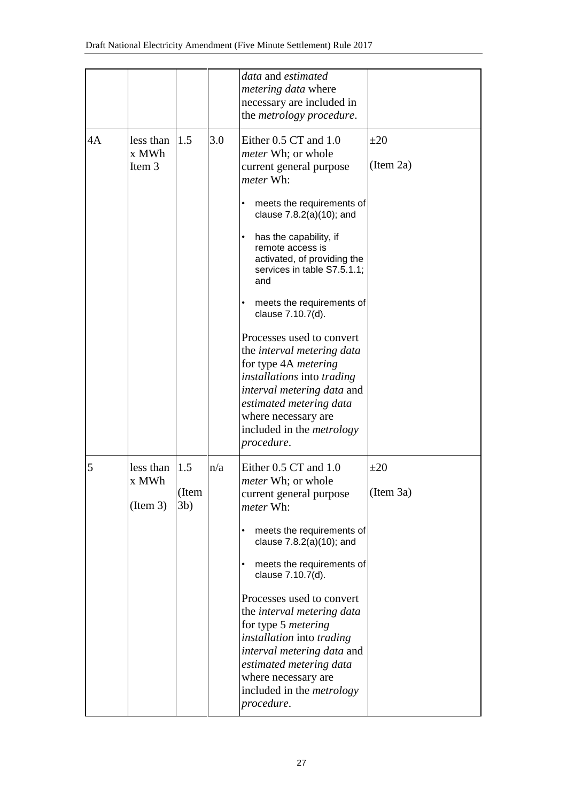|    |                                |                        |     | data and estimated<br><i>metering data</i> where<br>necessary are included in<br>the <i>metrology</i> procedure.                                                                                                                                                                                                                                                                                                                                                                                                                                                                                 |                       |
|----|--------------------------------|------------------------|-----|--------------------------------------------------------------------------------------------------------------------------------------------------------------------------------------------------------------------------------------------------------------------------------------------------------------------------------------------------------------------------------------------------------------------------------------------------------------------------------------------------------------------------------------------------------------------------------------------------|-----------------------|
| 4A | less than<br>x MWh<br>Item 3   | 1.5                    | 3.0 | Either 0.5 CT and 1.0<br><i>meter</i> Wh; or whole<br>current general purpose<br>meter Wh:<br>meets the requirements of<br>clause 7.8.2(a)(10); and<br>has the capability, if<br>remote access is<br>activated, of providing the<br>services in table S7.5.1.1;<br>and<br>meets the requirements of<br>clause 7.10.7(d).<br>Processes used to convert<br>the interval metering data<br>for type 4A <i>metering</i><br><i>installations</i> into <i>trading</i><br>interval metering data and<br>estimated metering data<br>where necessary are<br>included in the <i>metrology</i><br>procedure. | $\pm 20$<br>(Item 2a) |
| 5  | less than<br>x MWh<br>(Item 3) | 1.5<br>(Item<br>$3b$ ) | n/a | Either 0.5 CT and 1.0<br><i>meter</i> Wh; or whole<br>current general purpose<br><i>meter</i> Wh:<br>meets the requirements of<br>clause 7.8.2(a)(10); and<br>meets the requirements of<br>clause 7.10.7(d).<br>Processes used to convert<br>the <i>interval metering data</i><br>for type 5 metering<br>installation into trading<br>interval metering data and<br>estimated metering data<br>where necessary are<br>included in the <i>metrology</i><br>procedure.                                                                                                                             | $\pm 20$<br>(Item 3a) |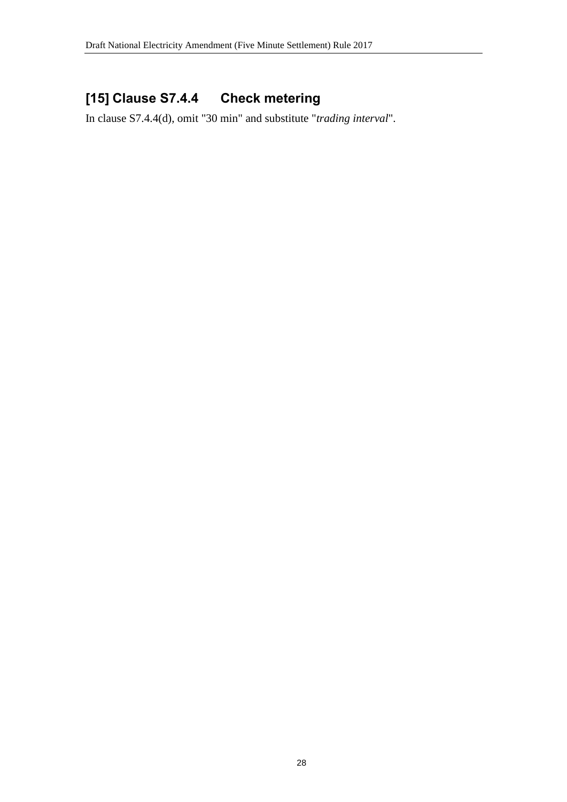# **[15] Clause S7.4.4 Check metering**

In clause S7.4.4(d), omit "30 min" and substitute "*trading interval*".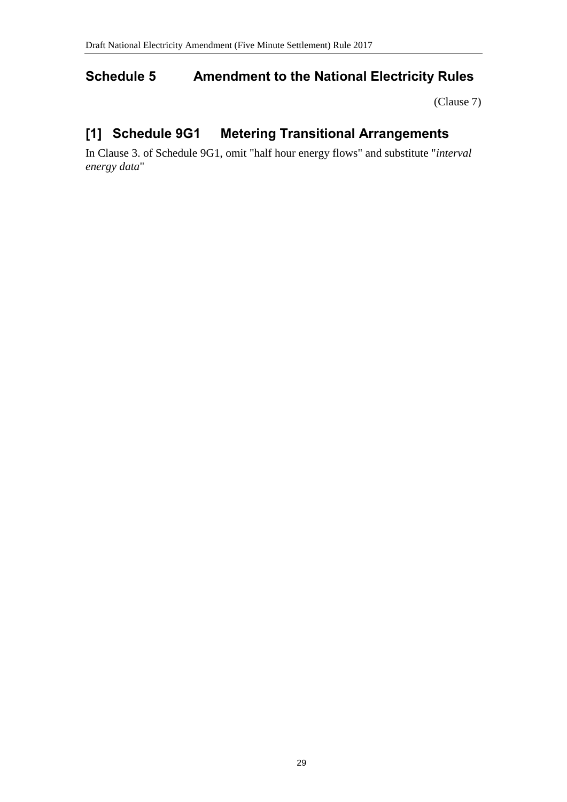# <span id="page-28-0"></span>**Schedule 5 Amendment to the National Electricity Rules**

[\(Clause 7\)](#page-1-4)

# **[1] Schedule 9G1 Metering Transitional Arrangements**

In Clause 3. of Schedule 9G1, omit "half hour energy flows" and substitute "*interval energy data*"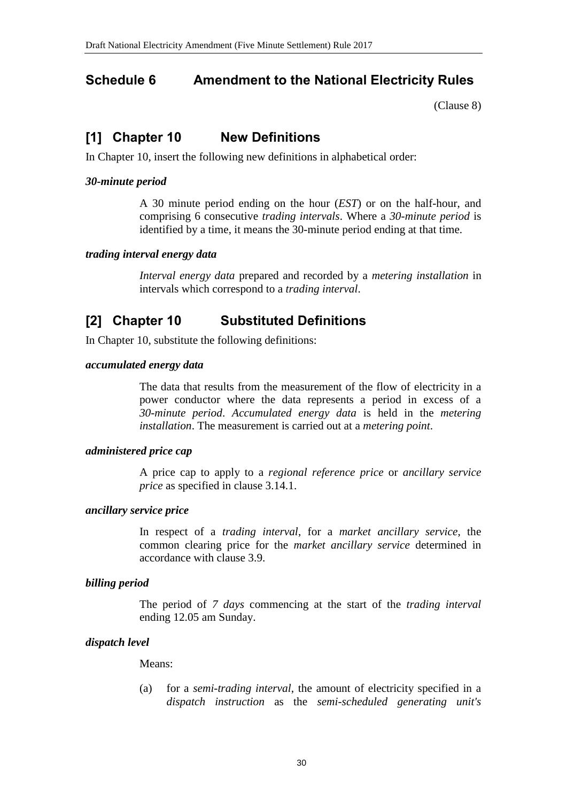# <span id="page-29-0"></span>**Schedule 6 Amendment to the National Electricity Rules**

[\(Clause 8\)](#page-1-5)

# **[1] Chapter 10 New Definitions**

In Chapter 10, insert the following new definitions in alphabetical order:

#### *30-minute period*

A 30 minute period ending on the hour (*EST*) or on the half-hour, and comprising 6 consecutive *trading intervals*. Where a *30-minute period* is identified by a time, it means the 30-minute period ending at that time.

#### *trading interval energy data*

*Interval energy data* prepared and recorded by a *metering installation* in intervals which correspond to a *trading interval*.

# **[2] Chapter 10 Substituted Definitions**

In Chapter 10, substitute the following definitions:

#### *accumulated energy data*

The data that results from the measurement of the flow of electricity in a power conductor where the data represents a period in excess of a *30-minute period*. *Accumulated energy data* is held in the *metering installation*. The measurement is carried out at a *metering point*.

#### *administered price cap*

A price cap to apply to a *regional reference price* or *ancillary service price* as specified in clause 3.14.1.

#### *ancillary service price*

In respect of a *trading interval*, for a *market ancillary service*, the common clearing price for the *market ancillary service* determined in accordance with clause 3.9.

#### *billing period*

The period of *7 days* commencing at the start of the *trading interval* ending 12.05 am Sunday.

#### *dispatch level*

Means:

(a) for a *semi-trading interval*, the amount of electricity specified in a *dispatch instruction* as the *semi-scheduled generating unit's*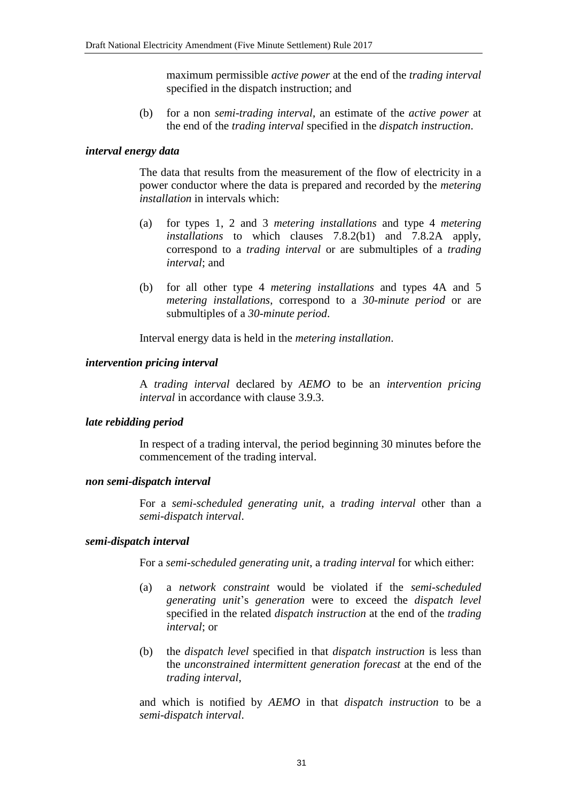maximum permissible *active power* at the end of the *trading interval* specified in the dispatch instruction; and

(b) for a non *semi-trading interval*, an estimate of the *active power* at the end of the *trading interval* specified in the *dispatch instruction*.

#### *interval energy data*

The data that results from the measurement of the flow of electricity in a power conductor where the data is prepared and recorded by the *metering installation* in intervals which:

- (a) for types 1, 2 and 3 *metering installations* and type 4 *metering installations* to which clauses 7.8.2(b1) and 7.8.2A apply, correspond to a *trading interval* or are submultiples of a *trading interval*; and
- (b) for all other type 4 *metering installations* and types 4A and 5 *metering installations*, correspond to a *30-minute period* or are submultiples of a *30-minute period*.

Interval energy data is held in the *metering installation*.

#### *intervention pricing interval*

A *trading interval* declared by *AEMO* to be an *intervention pricing interval* in accordance with clause 3.9.3.

#### *late rebidding period*

In respect of a trading interval, the period beginning 30 minutes before the commencement of the trading interval.

#### *non semi-dispatch interval*

For a *semi-scheduled generating unit*, a *trading interval* other than a *semi-dispatch interval*.

#### *semi-dispatch interval*

For a *semi-scheduled generating unit*, a *trading interval* for which either:

- (a) a *network constraint* would be violated if the *semi-scheduled generating unit*'s *generation* were to exceed the *dispatch level* specified in the related *dispatch instruction* at the end of the *trading interval*; or
- (b) the *dispatch level* specified in that *dispatch instruction* is less than the *unconstrained intermittent generation forecast* at the end of the *trading interval*,

and which is notified by *AEMO* in that *dispatch instruction* to be a *semi-dispatch interval*.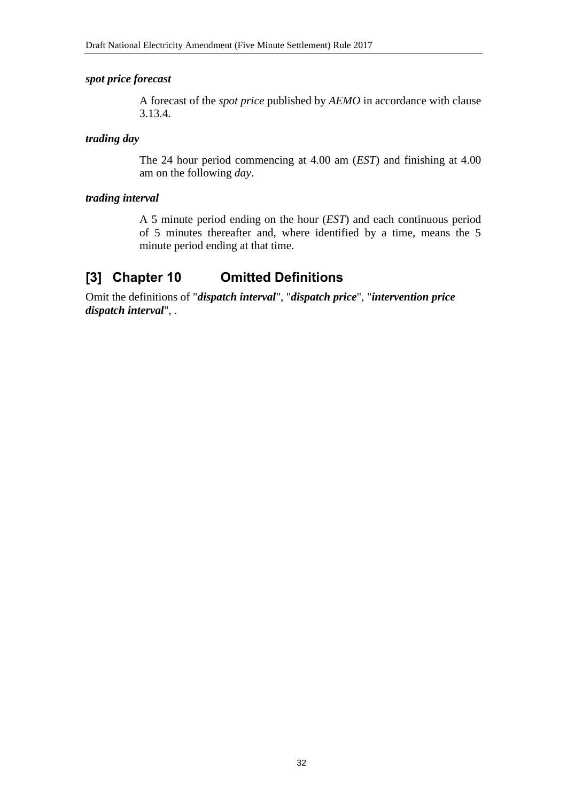#### *spot price forecast*

A forecast of the *spot price* published by *AEMO* in accordance with clause 3.13.4.

#### *trading day*

The 24 hour period commencing at 4.00 am (*EST*) and finishing at 4.00 am on the following *day*.

#### *trading interval*

A 5 minute period ending on the hour (*EST*) and each continuous period of 5 minutes thereafter and, where identified by a time, means the 5 minute period ending at that time.

## **[3] Chapter 10 Omitted Definitions**

Omit the definitions of "*dispatch interval*", "*dispatch price*", "*intervention price dispatch interval*", .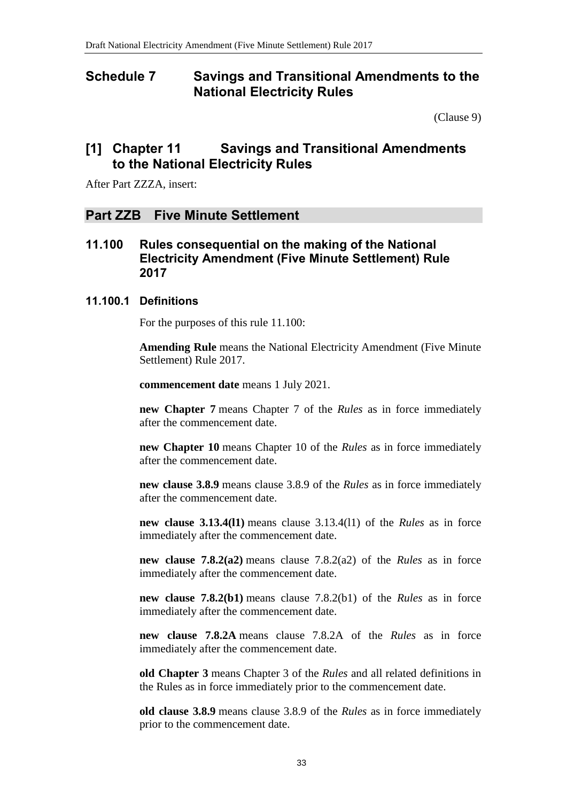#### <span id="page-32-0"></span>**Schedule 7 Savings and Transitional Amendments to the National Electricity Rules**

[\(Clause 9\)](#page-1-6)

#### **[1] Chapter 11 Savings and Transitional Amendments to the National Electricity Rules**

After Part ZZZA, insert:

#### **Part ZZB Five Minute Settlement**

**11.100 Rules consequential on the making of the National Electricity Amendment (Five Minute Settlement) Rule 2017**

#### **11.100.1 Definitions**

For the purposes of this rule 11.100:

**Amending Rule** means the National Electricity Amendment (Five Minute Settlement) Rule 2017.

**commencement date** means 1 July 2021.

**new Chapter 7** means Chapter 7 of the *Rules* as in force immediately after the commencement date.

**new Chapter 10** means Chapter 10 of the *Rules* as in force immediately after the commencement date.

**new clause 3.8.9** means clause 3.8.9 of the *Rules* as in force immediately after the commencement date.

**new clause 3.13.4(l1)** means clause 3.13.4(l1) of the *Rules* as in force immediately after the commencement date.

**new clause 7.8.2(a2)** means clause 7.8.2(a2) of the *Rules* as in force immediately after the commencement date.

**new clause 7.8.2(b1)** means clause 7.8.2(b1) of the *Rules* as in force immediately after the commencement date.

**new clause 7.8.2A** means clause 7.8.2A of the *Rules* as in force immediately after the commencement date.

**old Chapter 3** means Chapter 3 of the *Rules* and all related definitions in the Rules as in force immediately prior to the commencement date.

**old clause 3.8.9** means clause 3.8.9 of the *Rules* as in force immediately prior to the commencement date.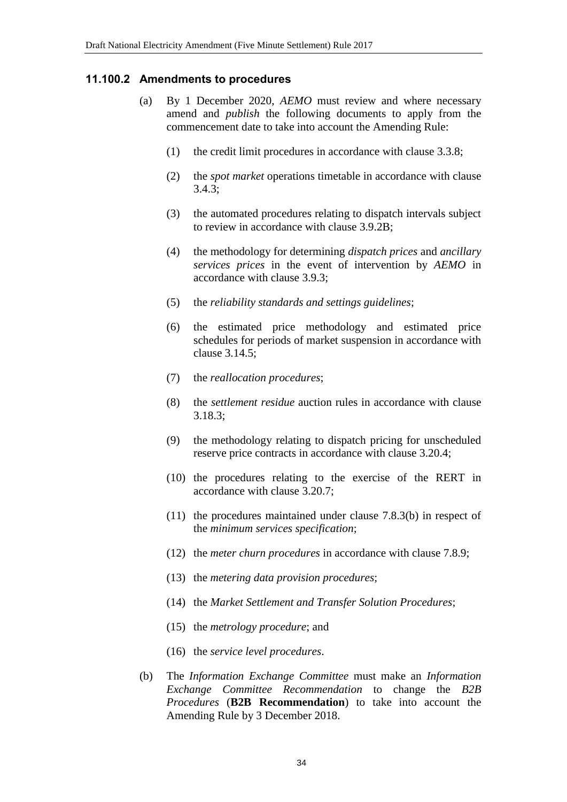#### **11.100.2 Amendments to procedures**

- (a) By 1 December 2020, *AEMO* must review and where necessary amend and *publish* the following documents to apply from the commencement date to take into account the Amending Rule:
	- (1) the credit limit procedures in accordance with clause 3.3.8;
	- (2) the *spot market* operations timetable in accordance with clause 3.4.3;
	- (3) the automated procedures relating to dispatch intervals subject to review in accordance with clause 3.9.2B;
	- (4) the methodology for determining *dispatch prices* and *ancillary services prices* in the event of intervention by *AEMO* in accordance with clause 3.9.3;
	- (5) the *reliability standards and settings guidelines*;
	- (6) the estimated price methodology and estimated price schedules for periods of market suspension in accordance with clause 3.14.5;
	- (7) the *reallocation procedures*;
	- (8) the *settlement residue* auction rules in accordance with clause 3.18.3;
	- (9) the methodology relating to dispatch pricing for unscheduled reserve price contracts in accordance with clause 3.20.4;
	- (10) the procedures relating to the exercise of the RERT in accordance with clause 3.20.7;
	- (11) the procedures maintained under clause 7.8.3(b) in respect of the *minimum services specification*;
	- (12) the *meter churn procedures* in accordance with clause 7.8.9;
	- (13) the *metering data provision procedures*;
	- (14) the *Market Settlement and Transfer Solution Procedures*;
	- (15) the *metrology procedure*; and
	- (16) the *service level procedures*.
- (b) The *Information Exchange Committee* must make an *Information Exchange Committee Recommendation* to change the *B2B Procedures* (**B2B Recommendation**) to take into account the Amending Rule by 3 December 2018.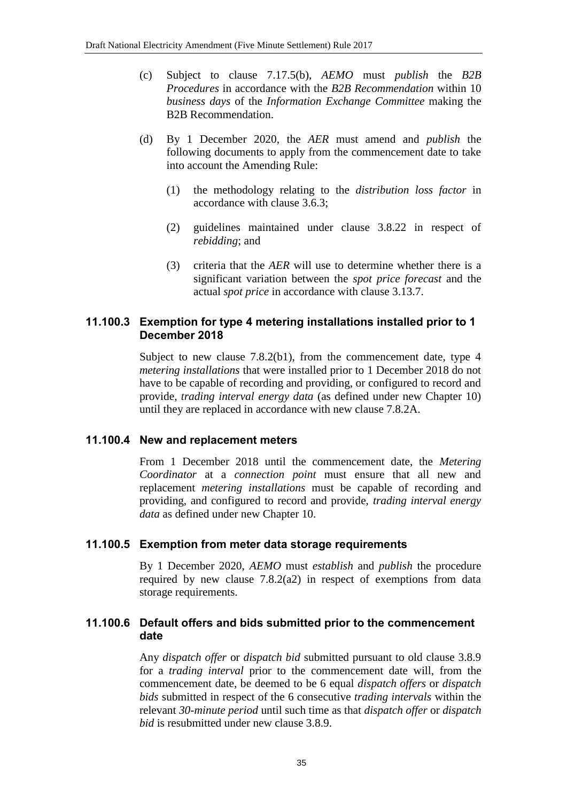- (c) Subject to clause 7.17.5(b), *AEMO* must *publish* the *B2B Procedures* in accordance with the *B2B Recommendation* within 10 *business days* of the *Information Exchange Committee* making the B2B Recommendation.
- (d) By 1 December 2020, the *AER* must amend and *publish* the following documents to apply from the commencement date to take into account the Amending Rule:
	- (1) the methodology relating to the *distribution loss factor* in accordance with clause 3.6.3;
	- (2) guidelines maintained under clause 3.8.22 in respect of *rebidding*; and
	- (3) criteria that the *AER* will use to determine whether there is a significant variation between the *spot price forecast* and the actual *spot price* in accordance with clause 3.13.7.

#### **11.100.3 Exemption for type 4 metering installations installed prior to 1 December 2018**

Subject to new clause 7.8.2(b1), from the commencement date, type 4 *metering installations* that were installed prior to 1 December 2018 do not have to be capable of recording and providing, or configured to record and provide, *trading interval energy data* (as defined under new Chapter 10) until they are replaced in accordance with new clause 7.8.2A.

#### **11.100.4 New and replacement meters**

From 1 December 2018 until the commencement date, the *Metering Coordinator* at a *connection point* must ensure that all new and replacement *metering installations* must be capable of recording and providing, and configured to record and provide, *trading interval energy data* as defined under new Chapter 10.

#### **11.100.5 Exemption from meter data storage requirements**

By 1 December 2020, *AEMO* must *establish* and *publish* the procedure required by new clause 7.8.2(a2) in respect of exemptions from data storage requirements.

#### **11.100.6 Default offers and bids submitted prior to the commencement date**

Any *dispatch offer* or *dispatch bid* submitted pursuant to old clause 3.8.9 for a *trading interval* prior to the commencement date will, from the commencement date, be deemed to be 6 equal *dispatch offers* or *dispatch bids* submitted in respect of the 6 consecutive *trading intervals* within the relevant *30-minute period* until such time as that *dispatch offer* or *dispatch bid* is resubmitted under new clause 3.8.9.